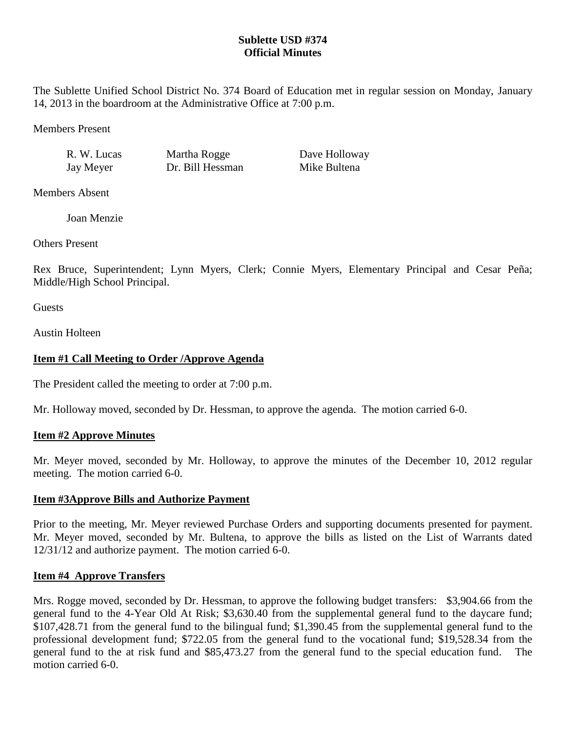# **Sublette USD #374 Official Minutes**

The Sublette Unified School District No. 374 Board of Education met in regular session on Monday, January 14, 2013 in the boardroom at the Administrative Office at 7:00 p.m.

Members Present

Jay Meyer Dr. Bill Hessman Mike Bultena

R. W. Lucas Martha Rogge Dave Holloway

Members Absent

Joan Menzie

Others Present

Rex Bruce, Superintendent; Lynn Myers, Clerk; Connie Myers, Elementary Principal and Cesar Peña; Middle/High School Principal.

**Guests** 

Austin Holteen

# **Item #1 Call Meeting to Order /Approve Agenda**

The President called the meeting to order at 7:00 p.m.

Mr. Holloway moved, seconded by Dr. Hessman, to approve the agenda. The motion carried 6-0.

## **Item #2 Approve Minutes**

Mr. Meyer moved, seconded by Mr. Holloway, to approve the minutes of the December 10, 2012 regular meeting. The motion carried 6-0.

## **Item #3Approve Bills and Authorize Payment**

Prior to the meeting, Mr. Meyer reviewed Purchase Orders and supporting documents presented for payment. Mr. Meyer moved, seconded by Mr. Bultena, to approve the bills as listed on the List of Warrants dated 12/31/12 and authorize payment. The motion carried 6-0.

## **Item #4 Approve Transfers**

Mrs. Rogge moved, seconded by Dr. Hessman, to approve the following budget transfers: \$3,904.66 from the general fund to the 4-Year Old At Risk; \$3,630.40 from the supplemental general fund to the daycare fund; \$107,428.71 from the general fund to the bilingual fund; \$1,390.45 from the supplemental general fund to the professional development fund; \$722.05 from the general fund to the vocational fund; \$19,528.34 from the general fund to the at risk fund and \$85,473.27 from the general fund to the special education fund. The motion carried 6-0.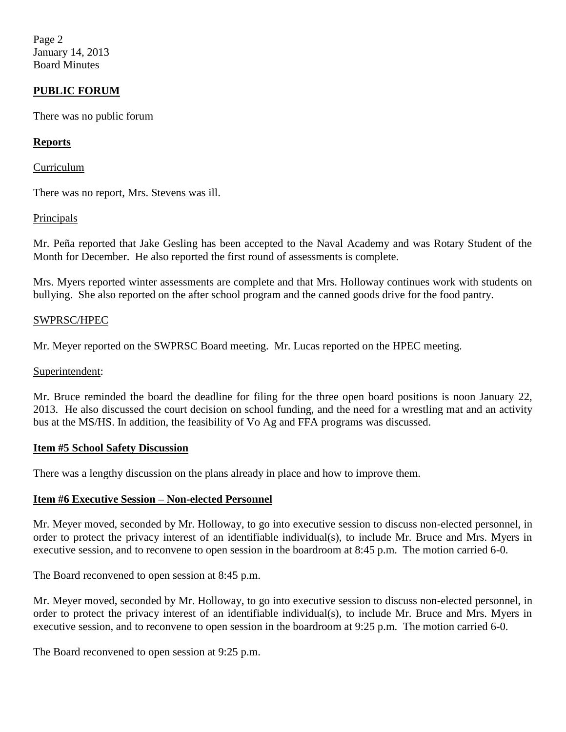Page 2 January 14, 2013 Board Minutes

## **PUBLIC FORUM**

There was no public forum

### **Reports**

Curriculum

There was no report, Mrs. Stevens was ill.

### **Principals**

Mr. Peña reported that Jake Gesling has been accepted to the Naval Academy and was Rotary Student of the Month for December. He also reported the first round of assessments is complete.

Mrs. Myers reported winter assessments are complete and that Mrs. Holloway continues work with students on bullying. She also reported on the after school program and the canned goods drive for the food pantry.

### SWPRSC/HPEC

Mr. Meyer reported on the SWPRSC Board meeting. Mr. Lucas reported on the HPEC meeting.

#### Superintendent:

Mr. Bruce reminded the board the deadline for filing for the three open board positions is noon January 22, 2013. He also discussed the court decision on school funding, and the need for a wrestling mat and an activity bus at the MS/HS. In addition, the feasibility of Vo Ag and FFA programs was discussed.

#### **Item #5 School Safety Discussion**

There was a lengthy discussion on the plans already in place and how to improve them.

## **Item #6 Executive Session – Non-elected Personnel**

Mr. Meyer moved, seconded by Mr. Holloway, to go into executive session to discuss non-elected personnel, in order to protect the privacy interest of an identifiable individual(s), to include Mr. Bruce and Mrs. Myers in executive session, and to reconvene to open session in the boardroom at 8:45 p.m. The motion carried 6-0.

The Board reconvened to open session at 8:45 p.m.

Mr. Meyer moved, seconded by Mr. Holloway, to go into executive session to discuss non-elected personnel, in order to protect the privacy interest of an identifiable individual(s), to include Mr. Bruce and Mrs. Myers in executive session, and to reconvene to open session in the boardroom at 9:25 p.m. The motion carried 6-0.

The Board reconvened to open session at 9:25 p.m.